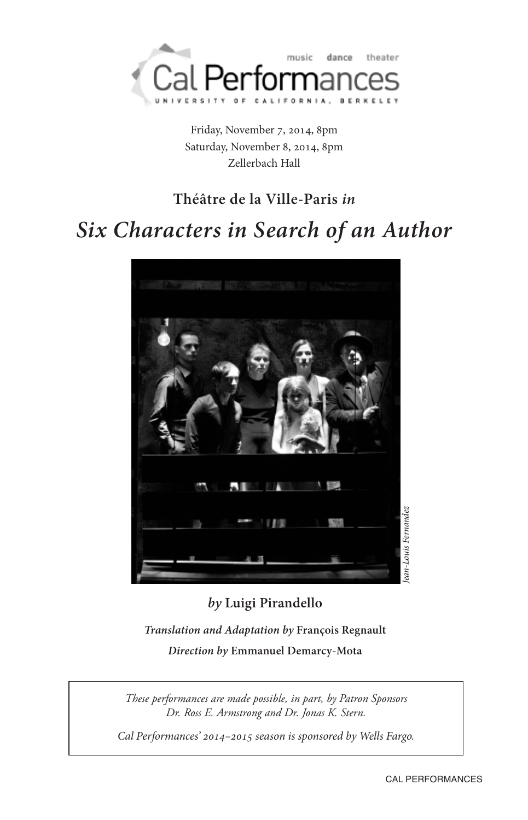

Friday, November 7, 2014, 8pm Saturday, November 8, 2014, 8pm Zellerbach Hall

## **Théâtre de la Ville-Paris** *in*

# *Six Characters in Search of an Author*



## *by* **Luigi Pirandello**

*Translation and Adaptation by* **François Regnault** *Direction by* **Emmanuel Demarcy-Mota**

*These performances are made possible, in part, by Patron Sponsors Dr. Ross E. Armstrong and Dr. Jonas K. Stern.*

Cal Performances' 2014–2015 season is sponsored by Wells Fargo.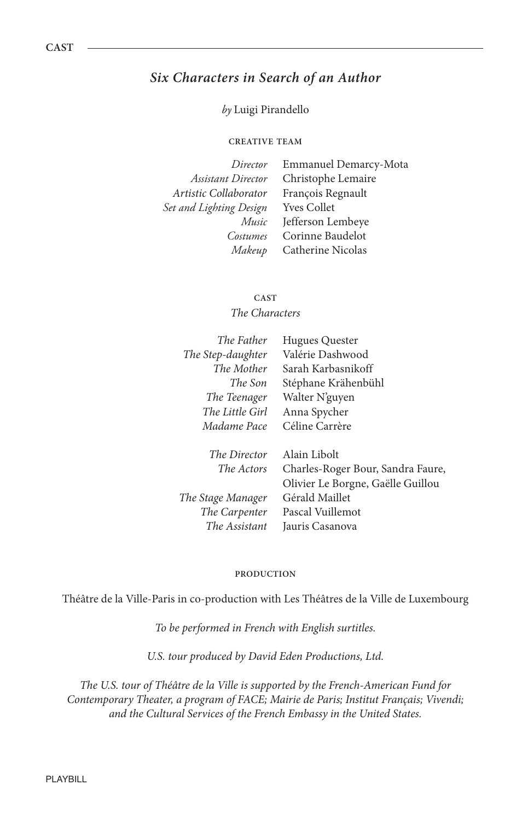### *Six Characters in Search of an Author*

#### *by* Luigi Pirandello

#### **CREATIVE TEAM**

| Director                | Emmanuel Demarcy-Mota |
|-------------------------|-----------------------|
| Assistant Director      | Christophe Lemaire    |
| Artistic Collaborator   | François Regnault     |
| Set and Lighting Design | <b>Yves Collet</b>    |
| Music                   | Jefferson Lembeye     |
| Costumes                | Corinne Baudelot      |
| Makeup                  | Catherine Nicolas     |

**CAST** The Characters

| The Father        | <b>Hugues Quester</b>             |
|-------------------|-----------------------------------|
| The Step-daughter | Valérie Dashwood                  |
| The Mother        | Sarah Karbasnikoff                |
| The Son           | Stéphane Krähenbühl               |
| The Teenager      | Walter N'guyen                    |
| The Little Girl   | Anna Spycher                      |
| Madame Pace       | Céline Carrère                    |
| The Director      | Alain Libolt                      |
| The Actors        | Charles-Roger Bour, Sandra Faure, |
|                   | Olivier Le Borgne, Gaëlle Guillou |
| The Stage Manager | Gérald Maillet                    |
| The Carpenter     | Pascal Vuillemot                  |
| The Assistant     | Jauris Casanova                   |

#### **PRODUCTION**

Théâtre de la Ville-Paris in co-production with Les Théâtres de la Ville de Luxembourg

To be performed in French with English surtitles.

U.S. tour produced by David Eden Productions, Ltd.

The U.S. tour of Théâtre de la Ville is supported by the French-American Fund for Contemporary Theater, a program of FACE; Mairie de Paris; Institut Français; Vivendi; and the Cultural Services of the French Embassy in the United States.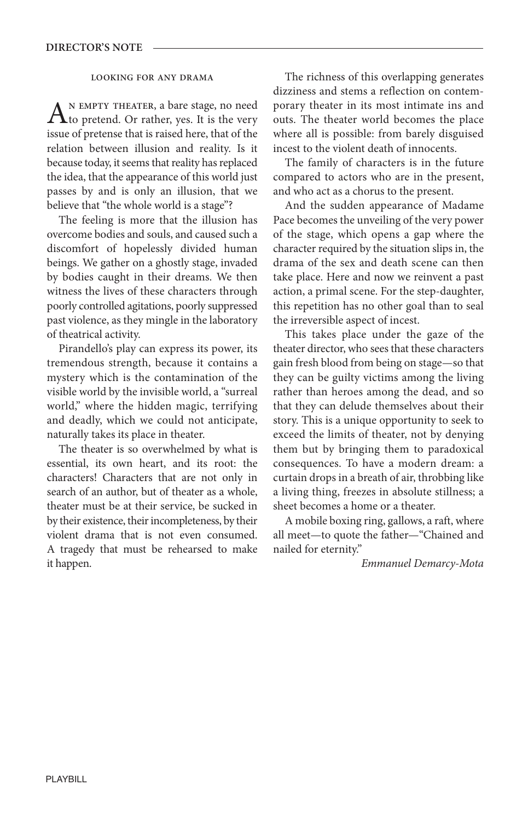#### **LOOkING FOR ANy DRAMA**

AN EMPTY THEATER, a bare stage, no need<br>to pretend. Or rather, yes. It is the very issue of pretense that is raised here, that of the relation between illusion and reality. Is it because today, it seems that reality has replaced the idea, that the appearance of this world just passes by and is only an illusion, that we believe that "the whole world is a stage"?

The feeling is more that the illusion has overcome bodies and souls, and caused such a discomfort of hopelessly divided human beings. We gather on a ghostly stage, invaded by bodies caught in their dreams. We then witness the lives of these characters through poorly controlled agitations, poorly suppressed past violence, as they mingle in the laboratory of theatrical activity.

Pirandello's play can express its power, its tremendous strength, because it contains a mystery which is the contamination of the visible world by the invisible world, a "surreal world," where the hidden magic, terrifying and deadly, which we could not anticipate, naturally takes its place in theater.

The theater is so overwhelmed by what is essential, its own heart, and its root: the characters! Characters that are not only in search of an author, but of theater as a whole, theater must be at their service, be sucked in by their existence, their incompleteness, by their violent drama that is not even consumed. A tragedy that must be rehearsed to make it happen.

The richness of this overlapping generates dizziness and stems a reflection on contemporary theater in its most intimate ins and outs. The theater world becomes the place where all is possible: from barely disguised incest to the violent death of innocents.

The family of characters is in the future compared to actors who are in the present, and who act as a chorus to the present.

And the sudden appearance of Madame Pace becomes the unveiling of the very power of the stage, which opens a gap where the character required by the situation slips in, the drama of the sex and death scene can then take place. Here and now we reinvent a past action, a primal scene. For the step-daughter, this repetition has no other goal than to seal the irreversible aspect of incest.

This takes place under the gaze of the theater director, who sees that these characters gain fresh blood from being on stage—so that they can be guilty victims among the living rather than heroes among the dead, and so that they can delude themselves about their story. This is a unique opportunity to seek to exceed the limits of theater, not by denying them but by bringing them to paradoxical consequences. To have a modern dream: a curtain drops in a breath of air, throbbing like a living thing, freezes in absolute stillness; a sheet becomes a home or a theater.

A mobile boxing ring, gallows, a raft, where all meet—to quote the father—"Chained and nailed for eternity."

Emmanuel Demarcy-Mota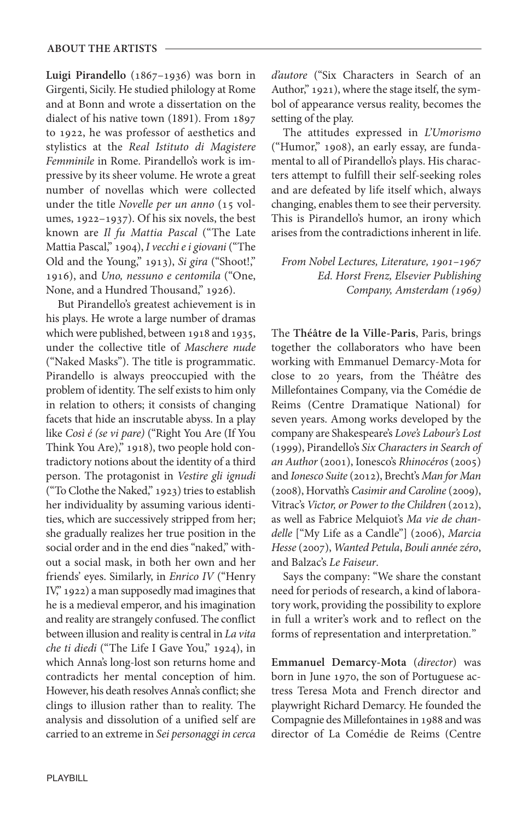**Luigi Pirandello** (1867–1936) was born in Girgenti, Sicily. He studied philology at Rome and at Bonn and wrote a dissertation on the dialect of his native town (1891). From 1897 to 1922, he was professor of aesthetics and stylistics at the Real Istituto di Magistere Femminile in Rome. Pirandello's work is impressive by its sheer volume. He wrote a great number of novellas which were collected under the title Novelle per un anno (15 volumes, 1922–1937). Of his six novels, the best known are Il fu Mattia Pascal ("The Late Mattia Pascal," 1904), I vecchi e i giovani ("The Old and the Young," 1913), Si gira ("Shoot!," 1916), and Uno, nessuno e centomila ("One, None, and a Hundred Thousand," 1926).

But Pirandello's greatest achievement is in his plays. He wrote a large number of dramas which were published, between 1918 and 1935, under the collective title of Maschere nude ("Naked Masks"). The title is programmatic. Pirandello is always preoccupied with the problem of identity. The self exists to him only in relation to others; it consists of changing facets that hide an inscrutable abyss. In a play like Così é (se vi pare) ("Right You Are (If You Think You Are)," 1918), two people hold contradictory notions about the identity of a third person. The protagonist in Vestire gli ignudi ("To Clothe the Naked," 1923) tries to establish her individuality by assuming various identities, which are successively stripped from her; she gradually realizes her true position in the social order and in the end dies "naked," without a social mask, in both her own and her friends' eyes. Similarly, in Enrico IV ("Henry IV," 1922) a man supposedly mad imagines that he is a medieval emperor, and his imagination and reality are strangely confused. The conflict between illusion and reality is central in La vita che ti diedi ("The Life I Gave You," 1924), in which Anna's long-lost son returns home and contradicts her mental conception of him. However, his death resolves Anna's conflict; she clings to illusion rather than to reality. The analysis and dissolution of a unified self are carried to an extreme in Sei personaggi in cerca

d'autore ("Six Characters in Search of an Author," 1921), where the stage itself, the symbol of appearance versus reality, becomes the setting of the play.

The attitudes expressed in L'Umorismo ("Humor," 1908), an early essay, are fundamental to all of Pirandello's plays. His characters attempt to fulfill their self-seeking roles and are defeated by life itself which, always changing, enables them to see their perversity. This is Pirandello's humor, an irony which arises from the contradictions inherent in life.

From Nobel Lectures, Literature, 1901–1967 Ed. Horst Frenz, Elsevier Publishing Company, Amsterdam (1969)

The **Théâtre de la Ville-Paris**, Paris, brings together the collaborators who have been working with Emmanuel Demarcy-Mota for close to 20 years, from the Théâtre des Millefontaines Company, via the Comédie de Reims (Centre Dramatique National) for seven years. Among works developed by the company are Shakespeare's Love's Labour's Lost (1999), Pirandello's Six Characters in Search of an Author (2001), Ionesco's Rhinocéros (2005) and Ionesco Suite (2012), Brecht's Man for Man (2008), Horvath's Casimir and Caroline (2009), Vitrac's Victor, or Power to the Children (2012), as well as Fabrice Melquiot's Ma vie de chandelle ["My Life as a Candle"] (2006), Marcia Hesse (2007), Wanted Petula, Bouli année zéro, and Balzac's Le Faiseur.

Says the company: "We share the constant need for periods of research, a kind of laboratory work, providing the possibility to explore in full a writer's work and to reflect on the forms of representation and interpretation."

**Emmanuel Demarcy-Mota** (director) was born in June 1970, the son of Portuguese actress Teresa Mota and French director and playwright Richard Demarcy. He founded the Compagnie des Millefontaines in 1988 and was director of La Comédie de Reims (Centre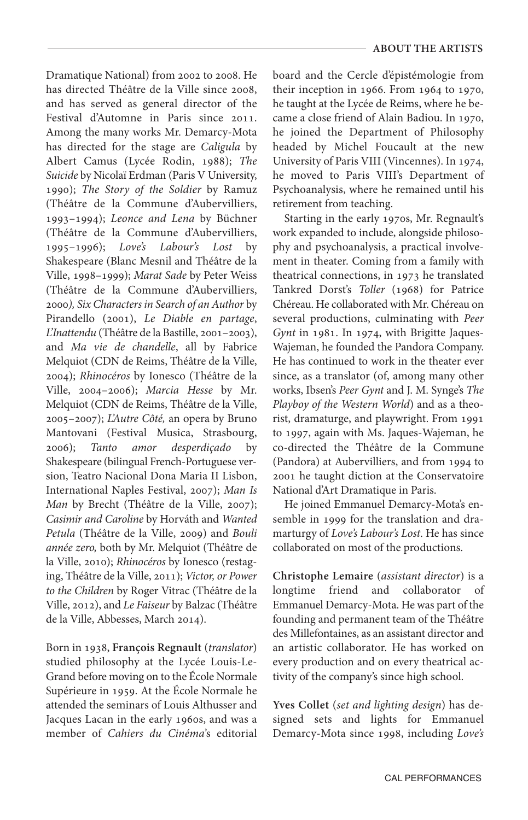Dramatique National) from 2002 to 2008. He has directed Théâtre de la Ville since 2008, and has served as general director of the Festival d'Automne in Paris since 2011. Among the many works Mr. Demarcy-Mota has directed for the stage are Caligula by Albert Camus (Lycée Rodin, 1988); The Suicide by Nicolaï Erdman (Paris V University, 1990); The Story of the Soldier by Ramuz (Théâtre de la Commune d'Aubervilliers, 1993–1994); Leonce and Lena by Büchner (Théâtre de la Commune d'Aubervilliers, 1995–1996); Love's Labour's Lost by Shakespeare (Blanc Mesnil and Théâtre de la Ville, 1998–1999); Marat Sade by Peter Weiss (Théâtre de la Commune d'Aubervilliers, 2000), Six Characters in Search of an Author by Pirandello (2001), Le Diable en partage, L'Inattendu (Théâtre de la Bastille, 2001–2003), and Ma vie de chandelle, all by Fabrice Melquiot (CDN de Reims, Théâtre de la Ville, 2004); Rhinocéros by Ionesco (Théâtre de la Ville, 2004–2006); Marcia Hesse by Mr. Melquiot (CDN de Reims, Théâtre de la Ville, 2005–2007); L'Autre Côté, an opera by Bruno Mantovani (Festival Musica, Strasbourg, 2006); Tanto amor desperdiçado by Shakespeare (bilingual French-Portuguese version, Teatro Nacional Dona Maria II Lisbon, International Naples Festival, 2007); Man Is Man by Brecht (Théâtre de la Ville, 2007); Casimir and Caroline by Horváth and Wanted Petula (Théâtre de la Ville, 2009) and Bouli année zero, both by Mr. Melquiot (Théâtre de la Ville, 2010); Rhinocéros by Ionesco (restaging, Théâtre de la Ville, 2011); Victor, or Power to the Children by Roger Vitrac (Théâtre de la Ville, 2012), and Le Faiseur by Balzac (Théâtre de la Ville, Abbesses, March 2014).

Born in 1938, **François Regnault** (translator) studied philosophy at the Lycée Louis-Le-Grand before moving on to the École Normale Supérieure in 1959. At the École Normale he attended the seminars of Louis Althusser and Jacques Lacan in the early 1960s, and was a member of Cahiers du Cinéma's editorial board and the Cercle d'épistémologie from their inception in 1966. From 1964 to 1970, he taught at the Lycée de Reims, where he became a close friend of Alain Badiou. In 1970, he joined the Department of Philosophy headed by Michel Foucault at the new University of Paris VIII (Vincennes). In 1974, he moved to Paris VIII's Department of Psychoanalysis, where he remained until his retirement from teaching.

Starting in the early 1970s, Mr. Regnault's work expanded to include, alongside philosophy and psychoanalysis, a practical involvement in theater. Coming from a family with theatrical connections, in 1973 he translated Tankred Dorst's Toller (1968) for Patrice Chéreau. He collaborated with Mr. Chéreau on several productions, culminating with Peer Gynt in 1981. In 1974, with Brigitte Jaques-Wajeman, he founded the Pandora Company. He has continued to work in the theater ever since, as a translator (of, among many other works, Ibsen's Peer Gynt and J. M. Synge's The Playboy of the Western World) and as a theorist, dramaturge, and playwright. From 1991 to 1997, again with Ms. Jaques-Wajeman, he co-directed the Théâtre de la Commune (Pandora) at Aubervilliers, and from 1994 to 2001 he taught diction at the Conservatoire National d'Art Dramatique in Paris.

He joined Emmanuel Demarcy-Mota's ensemble in 1999 for the translation and dramarturgy of Love's Labour's Lost. He has since collaborated on most of the productions.

**Christophe Lemaire** (assistant director) is a longtime friend and collaborator of Emmanuel Demarcy-Mota. He was part of the founding and permanent team of the Théâtre des Millefontaines, as an assistant director and an artistic collaborator. He has worked on every production and on every theatrical activity of the company's since high school.

**yves Collet** (set and lighting design) has designed sets and lights for Emmanuel Demarcy-Mota since 1998, including Love's